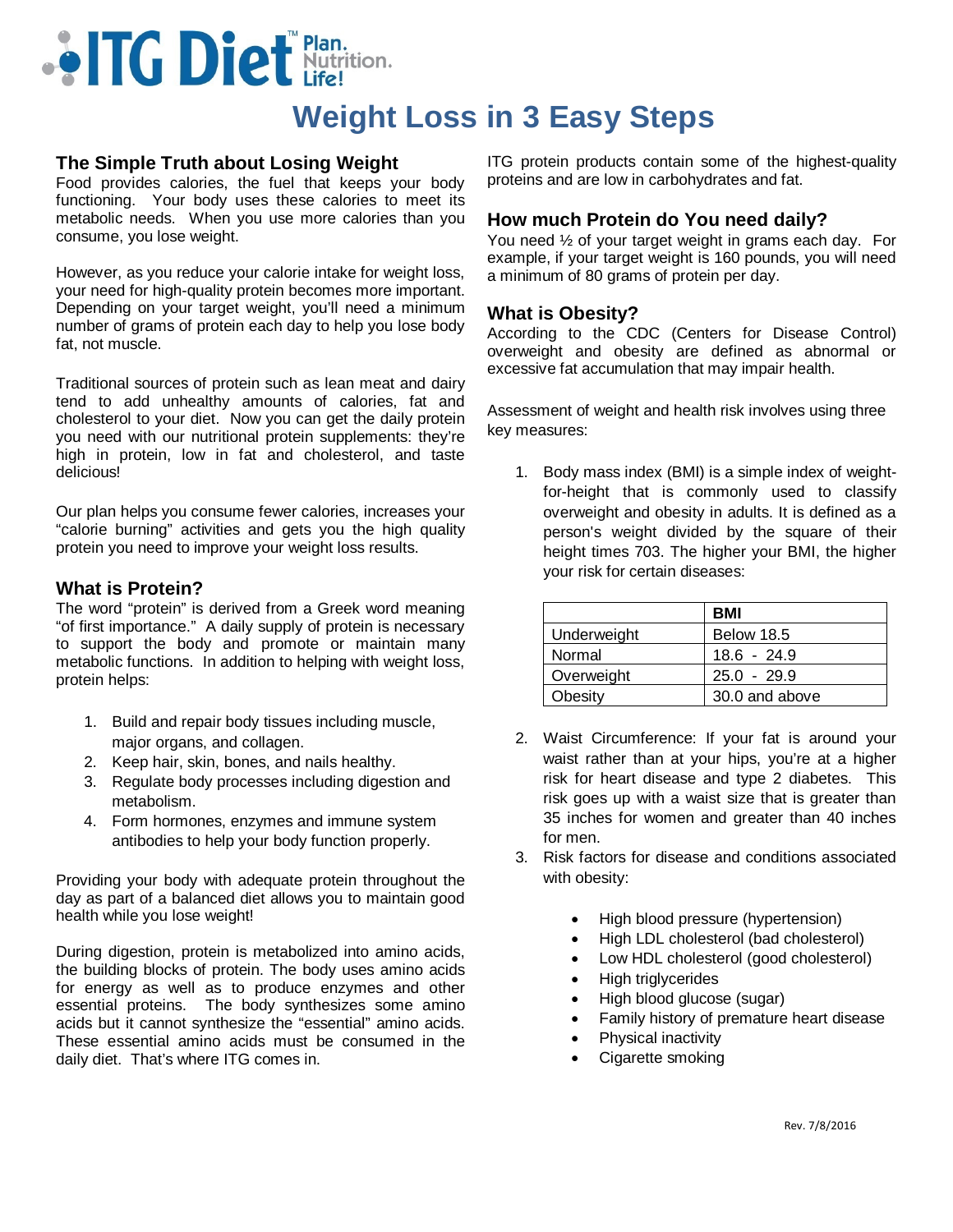# **...** ITG Diet Nutrition.

# **Weight Loss in 3 Easy Steps**

# **The Simple Truth about Losing Weight**

Food provides calories, the fuel that keeps your body functioning. Your body uses these calories to meet its metabolic needs. When you use more calories than you consume, you lose weight.

However, as you reduce your calorie intake for weight loss, your need for high-quality protein becomes more important. Depending on your target weight, you'll need a minimum number of grams of protein each day to help you lose body fat, not muscle.

Traditional sources of protein such as lean meat and dairy tend to add unhealthy amounts of calories, fat and cholesterol to your diet. Now you can get the daily protein you need with our nutritional protein supplements: they're high in protein, low in fat and cholesterol, and taste delicious!

Our plan helps you consume fewer calories, increases your "calorie burning" activities and gets you the high quality protein you need to improve your weight loss results.

# **What is Protein?**

The word "protein" is derived from a Greek word meaning "of first importance." A daily supply of protein is necessary to support the body and promote or maintain many metabolic functions. In addition to helping with weight loss, protein helps:

- 1. Build and repair body tissues including muscle, major organs, and collagen.
- 2. Keep hair, skin, bones, and nails healthy.
- 3. Regulate body processes including digestion and metabolism.
- 4. Form hormones, enzymes and immune system antibodies to help your body function properly.

Providing your body with adequate protein throughout the day as part of a balanced diet allows you to maintain good health while you lose weight!

During digestion, protein is metabolized into amino acids, the building blocks of protein. The body uses amino acids for energy as well as to produce enzymes and other essential proteins. The body synthesizes some amino acids but it cannot synthesize the "essential" amino acids. These essential amino acids must be consumed in the daily diet. That's where ITG comes in.

ITG protein products contain some of the highest-quality proteins and are low in carbohydrates and fat.

# **How much Protein do You need daily?**

You need ½ of your target weight in grams each day. For example, if your target weight is 160 pounds, you will need a minimum of 80 grams of protein per day.

#### **What is Obesity?**

According to the CDC (Centers for Disease Control) overweight and obesity are defined as abnormal or excessive fat accumulation that may impair health.

Assessment of weight and health risk involves using three key measures:

1. Body mass index (BMI) is a simple index of weightfor-height that is commonly used to classify overweight and obesity in adults. It is defined as a person's weight divided by the square of their height times 703. The higher your BMI, the higher your risk for certain diseases:

|             | <b>BMI</b>     |
|-------------|----------------|
| Underweight | Below 18.5     |
| Normal      | $18.6 - 24.9$  |
| Overweight  | $25.0 - 29.9$  |
| Obesity     | 30.0 and above |

- 2. Waist Circumference: If your fat is around your waist rather than at your hips, you're at a higher risk for heart disease and type 2 diabetes. This risk goes up with a waist size that is greater than 35 inches for women and greater than 40 inches for men.
- 3. Risk factors for disease and conditions associated with obesity:
	- High blood pressure (hypertension)
	- High LDL cholesterol (bad cholesterol)
	- Low HDL cholesterol (good cholesterol)
	- High triglycerides
	- High blood glucose (sugar)
	- Family history of premature heart disease
	- Physical inactivity
	- Cigarette smoking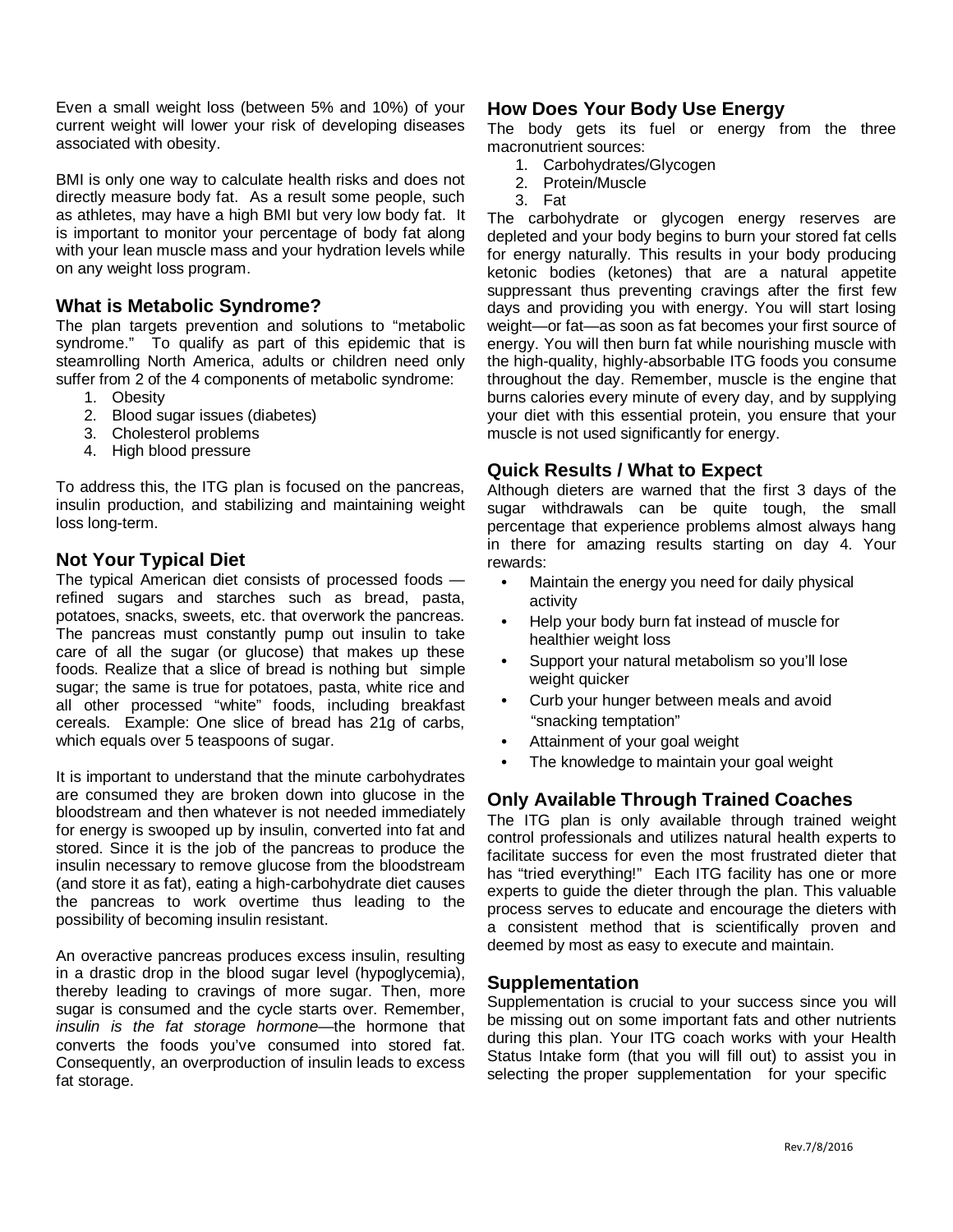Even a small weight loss (between 5% and 10%) of your current weight will lower your risk of developing diseases associated with obesity.

BMI is only one way to calculate health risks and does not directly measure body fat. As a result some people, such as athletes, may have a high BMI but very low body fat. It is important to monitor your percentage of body fat along with your lean muscle mass and your hydration levels while on any weight loss program.

# **What is Metabolic Syndrome?**

The plan targets prevention and solutions to "metabolic syndrome." To qualify as part of this epidemic that is steamrolling North America, adults or children need only suffer from 2 of the 4 components of metabolic syndrome:

- 1. Obesity
- 2. Blood sugar issues (diabetes)
- 3. Cholesterol problems
- 4. High blood pressure

To address this, the ITG plan is focused on the pancreas, insulin production, and stabilizing and maintaining weight loss long-term.

# **Not Your Typical Diet**

The typical American diet consists of processed foods refined sugars and starches such as bread, pasta, potatoes, snacks, sweets, etc. that overwork the pancreas. The pancreas must constantly pump out insulin to take care of all the sugar (or glucose) that makes up these foods. Realize that a slice of bread is nothing but simple sugar; the same is true for potatoes, pasta, white rice and all other processed "white" foods, including breakfast cereals. Example: One slice of bread has 21g of carbs, which equals over 5 teaspoons of sugar.

It is important to understand that the minute carbohydrates are consumed they are broken down into glucose in the bloodstream and then whatever is not needed immediately for energy is swooped up by insulin, converted into fat and stored. Since it is the job of the pancreas to produce the insulin necessary to remove glucose from the bloodstream (and store it as fat), eating a high-carbohydrate diet causes the pancreas to work overtime thus leading to the possibility of becoming insulin resistant.

An overactive pancreas produces excess insulin, resulting in a drastic drop in the blood sugar level (hypoglycemia), thereby leading to cravings of more sugar. Then, more sugar is consumed and the cycle starts over. Remember, *insulin is the fat storage hormone*—the hormone that converts the foods you've consumed into stored fat. Consequently, an overproduction of insulin leads to excess fat storage.

#### **How Does Your Body Use Energy**

The body gets its fuel or energy from the three macronutrient sources:

- 1. Carbohydrates/Glycogen
- 2. Protein/Muscle
- 3. Fat

The carbohydrate or glycogen energy reserves are depleted and your body begins to burn your stored fat cells for energy naturally. This results in your body producing ketonic bodies (ketones) that are a natural appetite suppressant thus preventing cravings after the first few days and providing you with energy. You will start losing weight—or fat—as soon as fat becomes your first source of energy. You will then burn fat while nourishing muscle with the high-quality, highly-absorbable ITG foods you consume throughout the day. Remember, muscle is the engine that burns calories every minute of every day, and by supplying your diet with this essential protein, you ensure that your muscle is not used significantly for energy.

# **Quick Results / What to Expect**

Although dieters are warned that the first 3 days of the sugar withdrawals can be quite tough, the small percentage that experience problems almost always hang in there for amazing results starting on day 4. Your rewards:

- **•** Maintain the energy you need for daily physical activity
- **•** Help your body burn fat instead of muscle for healthier weight loss
- **•** Support your natural metabolism so you'll lose weight quicker
- **•** Curb your hunger between meals and avoid "snacking temptation"
- **•** Attainment of your goal weight
- **•** The knowledge to maintain your goal weight

# **Only Available Through Trained Coaches**

The ITG plan is only available through trained weight control professionals and utilizes natural health experts to facilitate success for even the most frustrated dieter that has "tried everything!" Each ITG facility has one or more experts to guide the dieter through the plan. This valuable process serves to educate and encourage the dieters with a consistent method that is scientifically proven and deemed by most as easy to execute and maintain.

#### **Supplementation**

Supplementation is crucial to your success since you will be missing out on some important fats and other nutrients during this plan. Your ITG coach works with your Health Status Intake form (that you will fill out) to assist you in selecting the proper supplementation for your specific